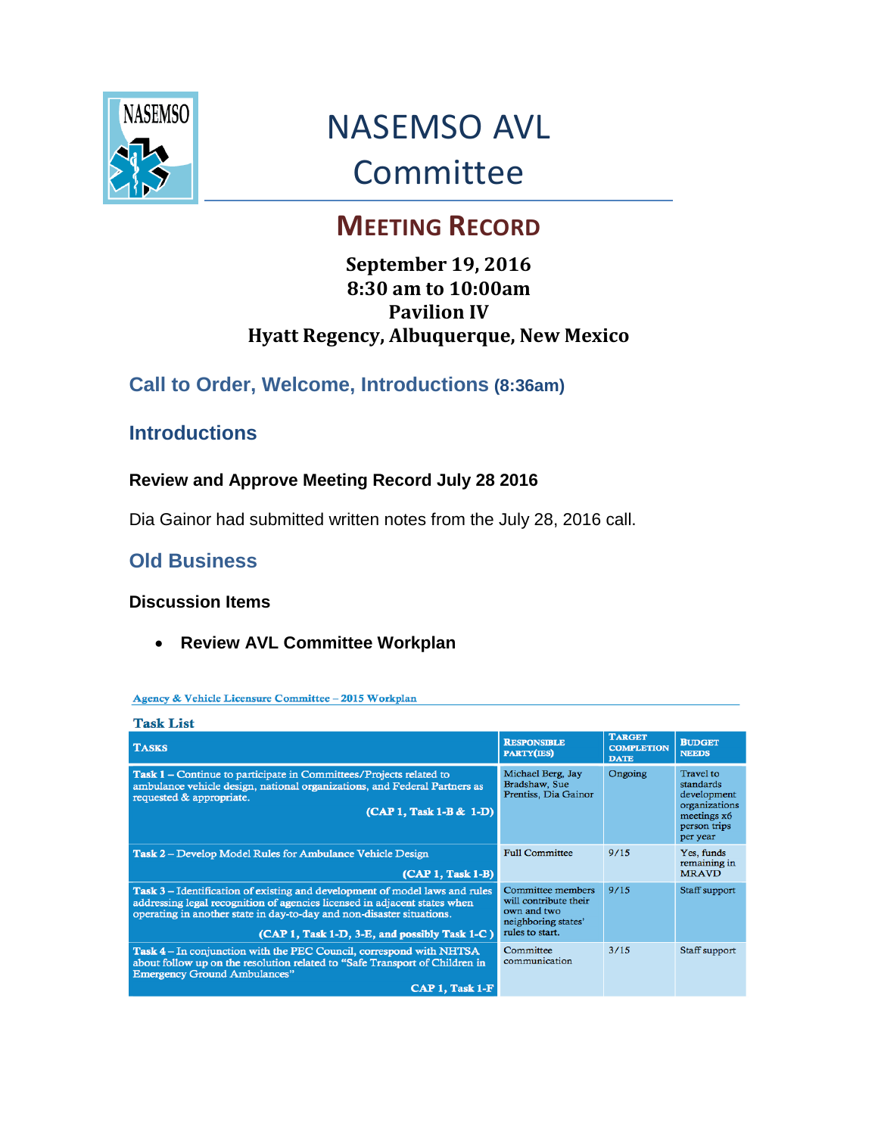

# NASEMSO AVL Committee

## **MEETING RECORD**

### **September 19, 2016 8:30 am to 10:00am Pavilion IV Hyatt Regency, Albuquerque, New Mexico**

## **Call to Order, Welcome, Introductions (8:36am)**

## **Introductions**

#### **Review and Approve Meeting Record July 28 2016**

Dia Gainor had submitted written notes from the July 28, 2016 call.

## **Old Business**

#### **Discussion Items**

**Review AVL Committee Workplan**

#### Agency & Vehicle Licensure Committee - 2015 Workplan

| <b>Task List</b>                                                                                                                                                                                                                                                                          |                                                                                                     |                                                   |                                                                                                   |
|-------------------------------------------------------------------------------------------------------------------------------------------------------------------------------------------------------------------------------------------------------------------------------------------|-----------------------------------------------------------------------------------------------------|---------------------------------------------------|---------------------------------------------------------------------------------------------------|
| <b>TASKS</b>                                                                                                                                                                                                                                                                              | <b>RESPONSIBLE</b><br><b>PARTY(IES)</b>                                                             | <b>TARGET</b><br><b>COMPLETION</b><br><b>DATE</b> | <b>BUDGET</b><br><b>NEEDS</b>                                                                     |
| Task 1 – Continue to participate in Committees/Projects related to<br>ambulance vehicle design, national organizations, and Federal Partners as<br>requested & appropriate.<br>(CAP 1, Task 1-B & 1-D)                                                                                    | Michael Berg, Jay<br>Bradshaw, Sue<br>Prentiss, Dia Gainor                                          | Ongoing                                           | Travel to<br>standards<br>development<br>organizations<br>meetings x6<br>person trips<br>per year |
| <b>Task 2 – Develop Model Rules for Ambulance Vehicle Design</b><br>$(CAP1, Task1-B)$                                                                                                                                                                                                     | <b>Full Committee</b>                                                                               | 9/15                                              | Yes, funds<br>remaining in<br><b>MRAVD</b>                                                        |
| <b>Task 3</b> – Identification of existing and development of model laws and rules<br>addressing legal recognition of agencies licensed in adjacent states when<br>operating in another state in day-to-day and non-disaster situations.<br>(CAP 1, Task 1-D, 3-E, and possibly Task 1-C) | Committee members<br>will contribute their<br>own and two<br>neighboring states'<br>rules to start. | 9/15                                              | Staff support                                                                                     |
| Task 4 – In conjunction with the PEC Council, correspond with NHTSA<br>about follow up on the resolution related to "Safe Transport of Children in<br><b>Emergency Ground Ambulances"</b><br>$CAP 1, Task 1-F$                                                                            | Committee<br>communication                                                                          | 3/15                                              | Staff support                                                                                     |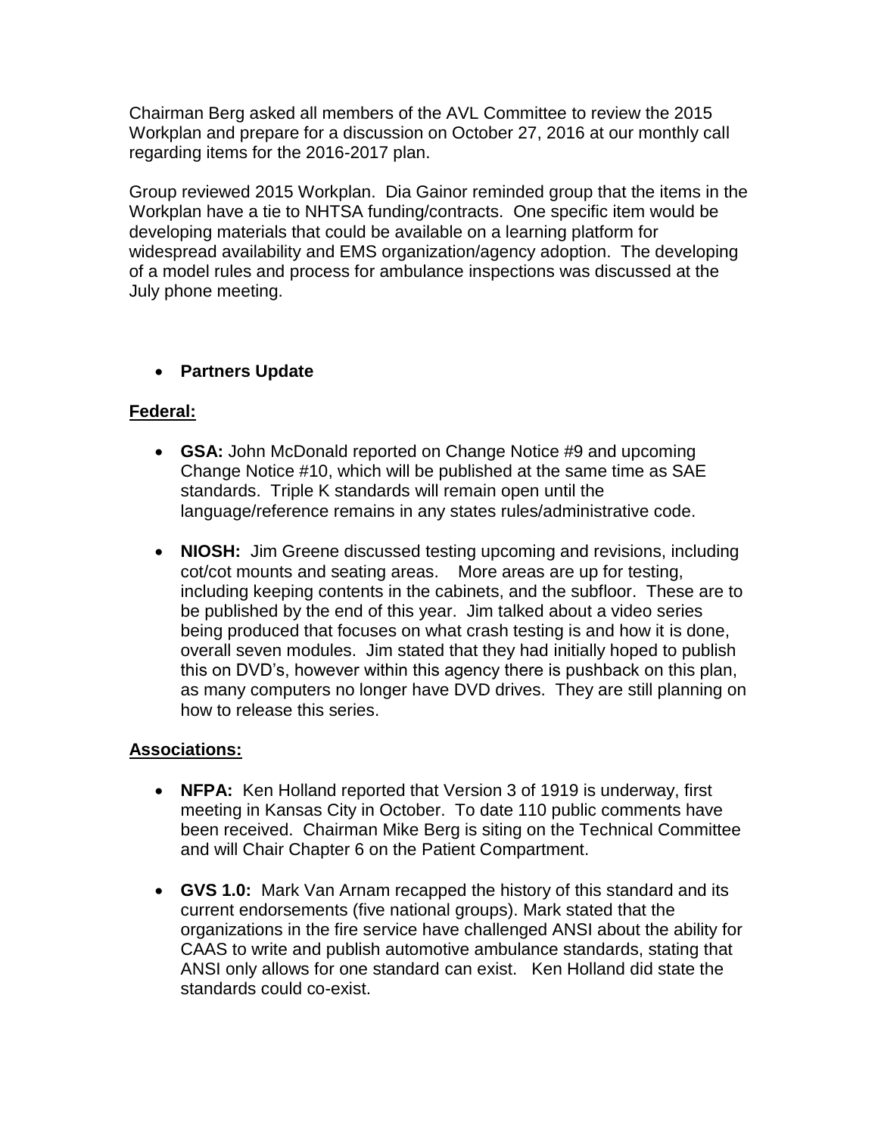Chairman Berg asked all members of the AVL Committee to review the 2015 Workplan and prepare for a discussion on October 27, 2016 at our monthly call regarding items for the 2016-2017 plan.

Group reviewed 2015 Workplan. Dia Gainor reminded group that the items in the Workplan have a tie to NHTSA funding/contracts. One specific item would be developing materials that could be available on a learning platform for widespread availability and EMS organization/agency adoption. The developing of a model rules and process for ambulance inspections was discussed at the July phone meeting.

#### **Partners Update**

#### **Federal:**

- **GSA:** John McDonald reported on Change Notice #9 and upcoming Change Notice #10, which will be published at the same time as SAE standards. Triple K standards will remain open until the language/reference remains in any states rules/administrative code.
- **NIOSH:** Jim Greene discussed testing upcoming and revisions, including cot/cot mounts and seating areas. More areas are up for testing, including keeping contents in the cabinets, and the subfloor. These are to be published by the end of this year. Jim talked about a video series being produced that focuses on what crash testing is and how it is done, overall seven modules. Jim stated that they had initially hoped to publish this on DVD's, however within this agency there is pushback on this plan, as many computers no longer have DVD drives. They are still planning on how to release this series.

#### **Associations:**

- **NFPA:** Ken Holland reported that Version 3 of 1919 is underway, first meeting in Kansas City in October. To date 110 public comments have been received. Chairman Mike Berg is siting on the Technical Committee and will Chair Chapter 6 on the Patient Compartment.
- **GVS 1.0:** Mark Van Arnam recapped the history of this standard and its current endorsements (five national groups). Mark stated that the organizations in the fire service have challenged ANSI about the ability for CAAS to write and publish automotive ambulance standards, stating that ANSI only allows for one standard can exist. Ken Holland did state the standards could co-exist.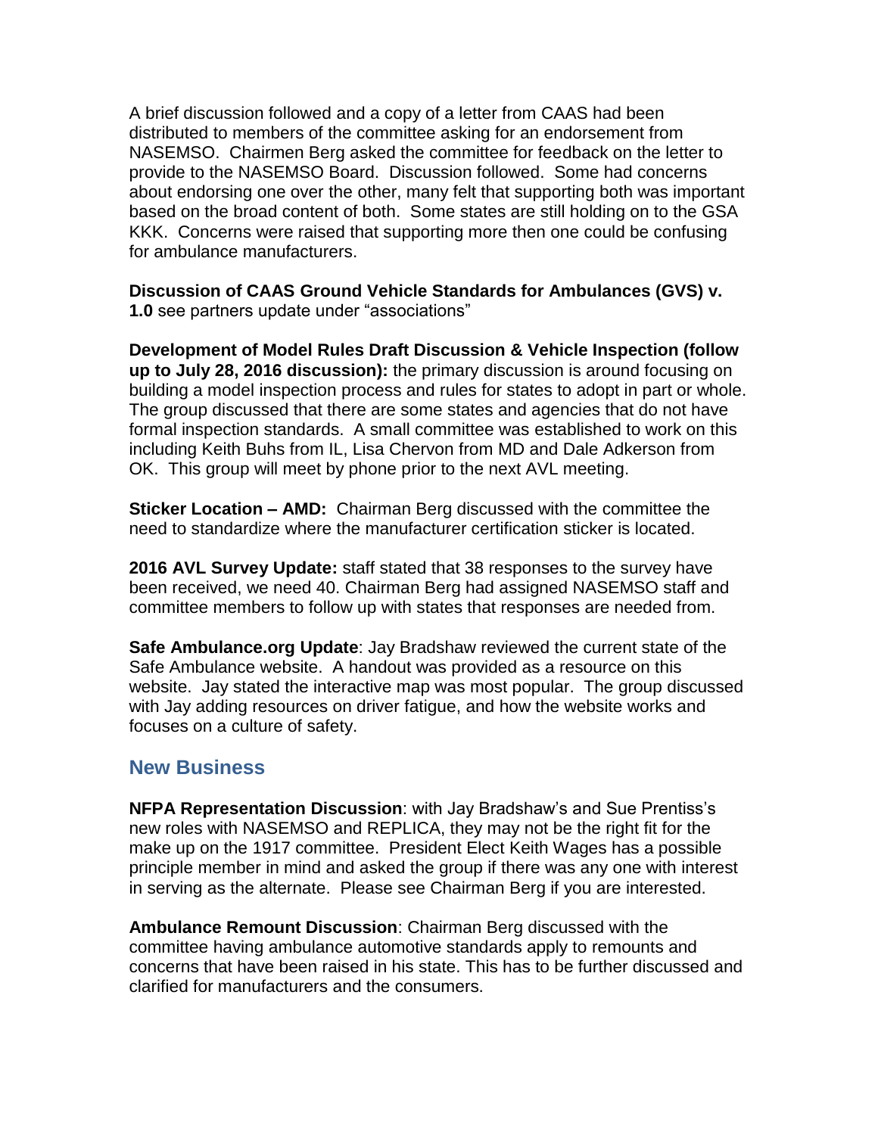A brief discussion followed and a copy of a letter from CAAS had been distributed to members of the committee asking for an endorsement from NASEMSO. Chairmen Berg asked the committee for feedback on the letter to provide to the NASEMSO Board. Discussion followed. Some had concerns about endorsing one over the other, many felt that supporting both was important based on the broad content of both. Some states are still holding on to the GSA KKK. Concerns were raised that supporting more then one could be confusing for ambulance manufacturers.

**Discussion of CAAS Ground Vehicle Standards for Ambulances (GVS) v. 1.0** see partners update under "associations"

**Development of Model Rules Draft Discussion & Vehicle Inspection (follow up to July 28, 2016 discussion):** the primary discussion is around focusing on building a model inspection process and rules for states to adopt in part or whole. The group discussed that there are some states and agencies that do not have formal inspection standards. A small committee was established to work on this including Keith Buhs from IL, Lisa Chervon from MD and Dale Adkerson from OK. This group will meet by phone prior to the next AVL meeting.

**Sticker Location – AMD:** Chairman Berg discussed with the committee the need to standardize where the manufacturer certification sticker is located.

**2016 AVL Survey Update:** staff stated that 38 responses to the survey have been received, we need 40. Chairman Berg had assigned NASEMSO staff and committee members to follow up with states that responses are needed from.

**Safe Ambulance.org Update**: Jay Bradshaw reviewed the current state of the Safe Ambulance website. A handout was provided as a resource on this website. Jay stated the interactive map was most popular. The group discussed with Jay adding resources on driver fatigue, and how the website works and focuses on a culture of safety.

#### **New Business**

**NFPA Representation Discussion**: with Jay Bradshaw's and Sue Prentiss's new roles with NASEMSO and REPLICA, they may not be the right fit for the make up on the 1917 committee. President Elect Keith Wages has a possible principle member in mind and asked the group if there was any one with interest in serving as the alternate. Please see Chairman Berg if you are interested.

**Ambulance Remount Discussion**: Chairman Berg discussed with the committee having ambulance automotive standards apply to remounts and concerns that have been raised in his state. This has to be further discussed and clarified for manufacturers and the consumers.